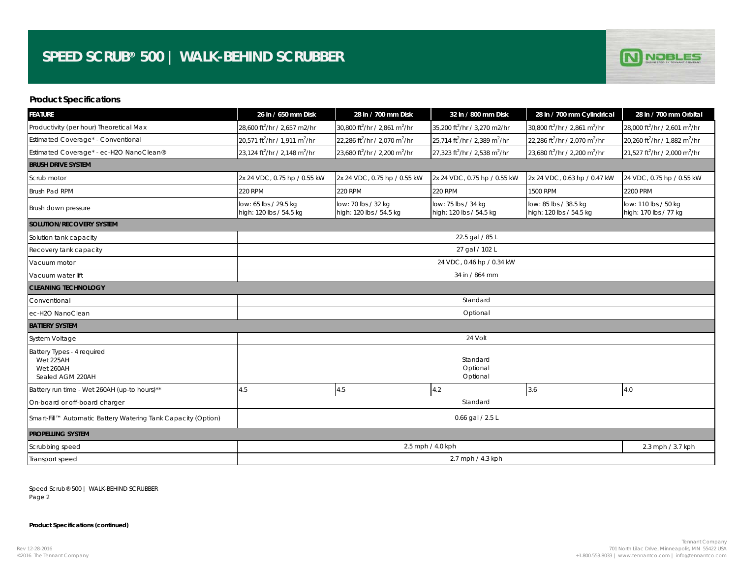## **SPEED SCRUB® 500 | WALK-BEHIND SCRUBBER**



## **Product Specifications**

| <b>FEATURE</b>                                                           | 26 in / 650 mm Disk                                   | 28 in / 700 mm Disk                                   | 32 in / 800 mm Disk                                   | 28 in / 700 mm Cylindrical                            | 28 in / 700 mm Orbital                                |  |  |  |
|--------------------------------------------------------------------------|-------------------------------------------------------|-------------------------------------------------------|-------------------------------------------------------|-------------------------------------------------------|-------------------------------------------------------|--|--|--|
| Productivity (per hour) Theoretical Max                                  | 28,600 ft <sup>2</sup> /hr / 2,657 m2/hr              | 30,800 ft <sup>2</sup> /hr / 2,861 m <sup>2</sup> /hr | 35,200 ft <sup>2</sup> /hr / 3,270 m2/hr              | 30,800 ft <sup>2</sup> /hr / 2,861 m <sup>2</sup> /hr | 28,000 ft <sup>2</sup> /hr / 2,601 m <sup>2</sup> /hr |  |  |  |
| Estimated Coverage* - Conventional                                       | 20,571 ft <sup>2</sup> /hr / 1,911 m <sup>2</sup> /hr | 22,286 ft <sup>2</sup> /hr / 2,070 m <sup>2</sup> /hr | 25,714 ft <sup>2</sup> /hr / 2,389 m <sup>2</sup> /hr | 22,286 ft <sup>2</sup> /hr / 2,070 m <sup>2</sup> /hr | 20,260 ft <sup>2</sup> /hr / 1,882 m <sup>2</sup> /hr |  |  |  |
| Estimated Coverage* - ec-H2O NanoClean®                                  | 23,124 ft <sup>2</sup> /hr / 2,148 m <sup>2</sup> /hr | 23,680 ft <sup>2</sup> /hr / 2,200 m <sup>2</sup> /hr | 27,323 ft <sup>2</sup> /hr / 2,538 m <sup>2</sup> /hr | 23,680 ft <sup>2</sup> /hr / 2,200 m <sup>2</sup> /hr | 21,527 ft <sup>2</sup> /hr / 2,000 m <sup>2</sup> /hr |  |  |  |
| <b>BRUSH DRIVE SYSTEM</b>                                                |                                                       |                                                       |                                                       |                                                       |                                                       |  |  |  |
| Scrub motor                                                              | 2x 24 VDC, 0.75 hp / 0.55 kW                          | 2x 24 VDC, 0.75 hp / 0.55 kW                          | 2x 24 VDC, 0.75 hp / 0.55 kW                          | 2x 24 VDC, 0.63 hp / 0.47 kW                          | 24 VDC, 0.75 hp / 0.55 kW                             |  |  |  |
| <b>Brush Pad RPM</b>                                                     | <b>220 RPM</b>                                        | <b>220 RPM</b>                                        | <b>220 RPM</b>                                        | 1500 RPM                                              | 2200 PRM                                              |  |  |  |
| Brush down pressure                                                      | low: 65 lbs / 29.5 kg<br>high: 120 lbs / 54.5 kg      | low: 70 lbs / 32 kg<br>high: 120 lbs / 54.5 kg        | low: 75 lbs / 34 kg<br>high: 120 lbs / 54.5 kg        | low: 85 lbs / 38.5 kg<br>high: 120 lbs / 54.5 kg      | low: 110 lbs / 50 kg<br>high: 170 lbs / 77 kg         |  |  |  |
| <b>SOLUTION/RECOVERY SYSTEM</b>                                          |                                                       |                                                       |                                                       |                                                       |                                                       |  |  |  |
| Solution tank capacity                                                   | 22.5 gal / 85 L                                       |                                                       |                                                       |                                                       |                                                       |  |  |  |
| Recovery tank capacity                                                   | 27 gal / 102 L                                        |                                                       |                                                       |                                                       |                                                       |  |  |  |
| Vacuum motor                                                             | 24 VDC, 0.46 hp / 0.34 kW                             |                                                       |                                                       |                                                       |                                                       |  |  |  |
| Vacuum water lift                                                        | 34 in / 864 mm                                        |                                                       |                                                       |                                                       |                                                       |  |  |  |
| <b>CLEANING TECHNOLOGY</b>                                               |                                                       |                                                       |                                                       |                                                       |                                                       |  |  |  |
| Conventional                                                             | Standard                                              |                                                       |                                                       |                                                       |                                                       |  |  |  |
| ec-H2O NanoClean                                                         | Optional                                              |                                                       |                                                       |                                                       |                                                       |  |  |  |
| <b>BATTERY SYSTEM</b>                                                    |                                                       |                                                       |                                                       |                                                       |                                                       |  |  |  |
| <b>System Voltage</b>                                                    | 24 Volt                                               |                                                       |                                                       |                                                       |                                                       |  |  |  |
| Battery Types - 4 required<br>Wet 225AH<br>Wet 260AH<br>Sealed AGM 220AH | Standard<br>Optional<br>Optional                      |                                                       |                                                       |                                                       |                                                       |  |  |  |
| Battery run time - Wet 260AH (up-to hours)**                             | 4.5                                                   | 4.5                                                   | 4.2                                                   | 3.6                                                   | 4.0                                                   |  |  |  |
| On-board or off-board charger                                            | Standard                                              |                                                       |                                                       |                                                       |                                                       |  |  |  |
| Smart-Fill™ Automatic Battery Watering Tank Capacity (Option)            | 0.66 gal $/ 2.5 L$                                    |                                                       |                                                       |                                                       |                                                       |  |  |  |
| <b>PROPELLING SYSTEM</b>                                                 |                                                       |                                                       |                                                       |                                                       |                                                       |  |  |  |
| Scrubbing speed                                                          |                                                       | 2.3 mph / 3.7 kph                                     |                                                       |                                                       |                                                       |  |  |  |
| Transport speed                                                          | 2.7 mph / 4.3 kph                                     |                                                       |                                                       |                                                       |                                                       |  |  |  |

Speed Scrub® 500 | WALK-BEHIND SCRUBBER Page 2

**Product Specifications (continued)**